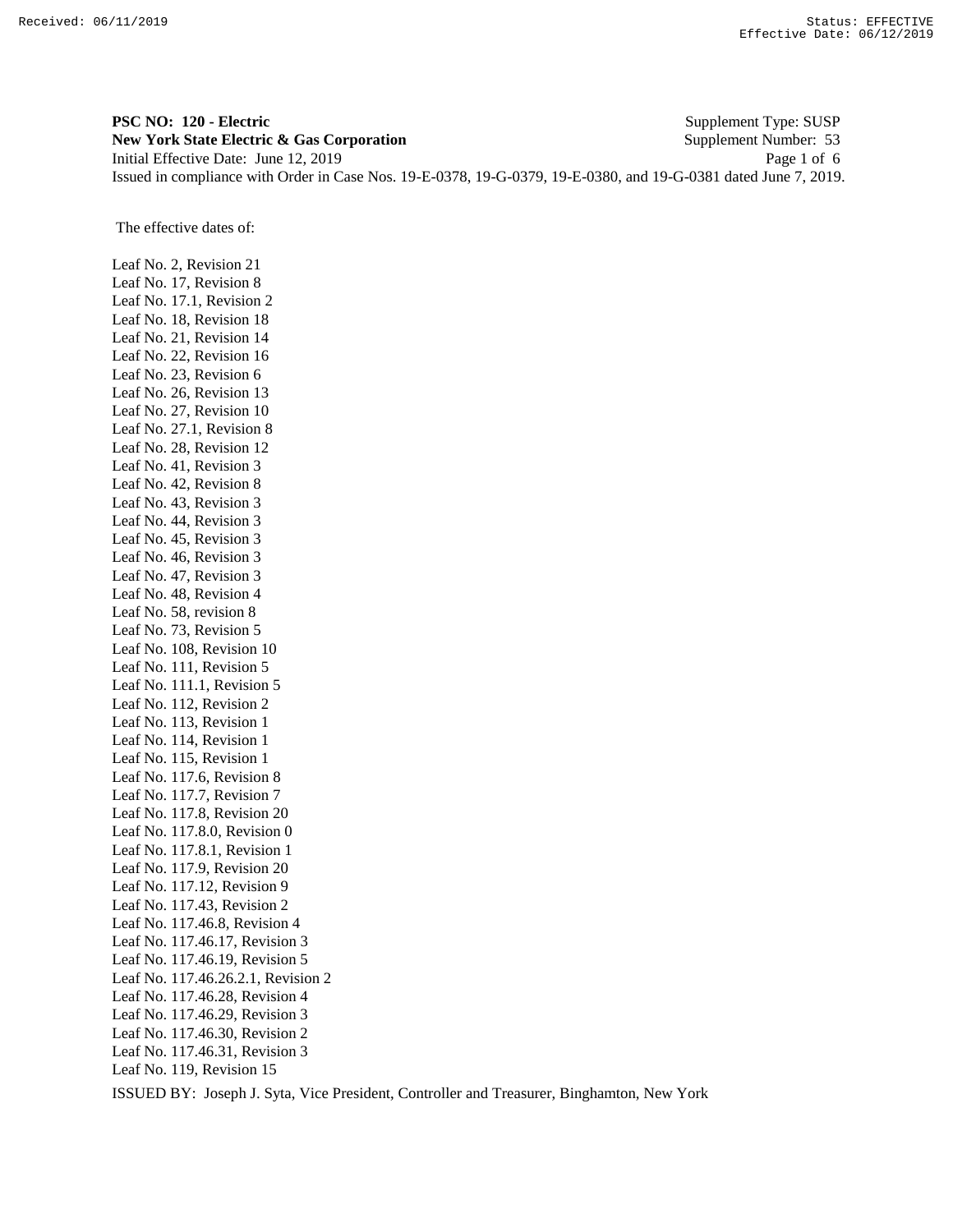**PSC NO: 120 - Electric** Supplement Type: SUSP **New York State Electric & Gas Corporation** Supplement Number: 53 Initial Effective Date: June 12, 2019 Page 1 of 6 Issued in compliance with Order in Case Nos. 19-E-0378, 19-G-0379, 19-E-0380, and 19-G-0381 dated June 7, 2019.

The effective dates of:

Leaf No. 2, Revision 21 Leaf No. 17, Revision 8 Leaf No. 17.1, Revision 2 Leaf No. 18, Revision 18 Leaf No. 21, Revision 14 Leaf No. 22, Revision 16 Leaf No. 23, Revision 6 Leaf No. 26, Revision 13 Leaf No. 27, Revision 10 Leaf No. 27.1, Revision 8 Leaf No. 28, Revision 12 Leaf No. 41, Revision 3 Leaf No. 42, Revision 8 Leaf No. 43, Revision 3 Leaf No. 44, Revision 3 Leaf No. 45, Revision 3 Leaf No. 46, Revision 3 Leaf No. 47, Revision 3 Leaf No. 48, Revision 4 Leaf No. 58, revision 8 Leaf No. 73, Revision 5 Leaf No. 108, Revision 10 Leaf No. 111, Revision 5 Leaf No. 111.1, Revision 5 Leaf No. 112, Revision 2 Leaf No. 113, Revision 1 Leaf No. 114, Revision 1 Leaf No. 115, Revision 1 Leaf No. 117.6, Revision 8 Leaf No. 117.7, Revision 7 Leaf No. 117.8, Revision 20 Leaf No. 117.8.0, Revision 0 Leaf No. 117.8.1, Revision 1 Leaf No. 117.9, Revision 20 Leaf No. 117.12, Revision 9 Leaf No. 117.43, Revision 2 Leaf No. 117.46.8, Revision 4 Leaf No. 117.46.17, Revision 3 Leaf No. 117.46.19, Revision 5 Leaf No. 117.46.26.2.1, Revision 2 Leaf No. 117.46.28, Revision 4 Leaf No. 117.46.29, Revision 3 Leaf No. 117.46.30, Revision 2 Leaf No. 117.46.31, Revision 3 Leaf No. 119, Revision 15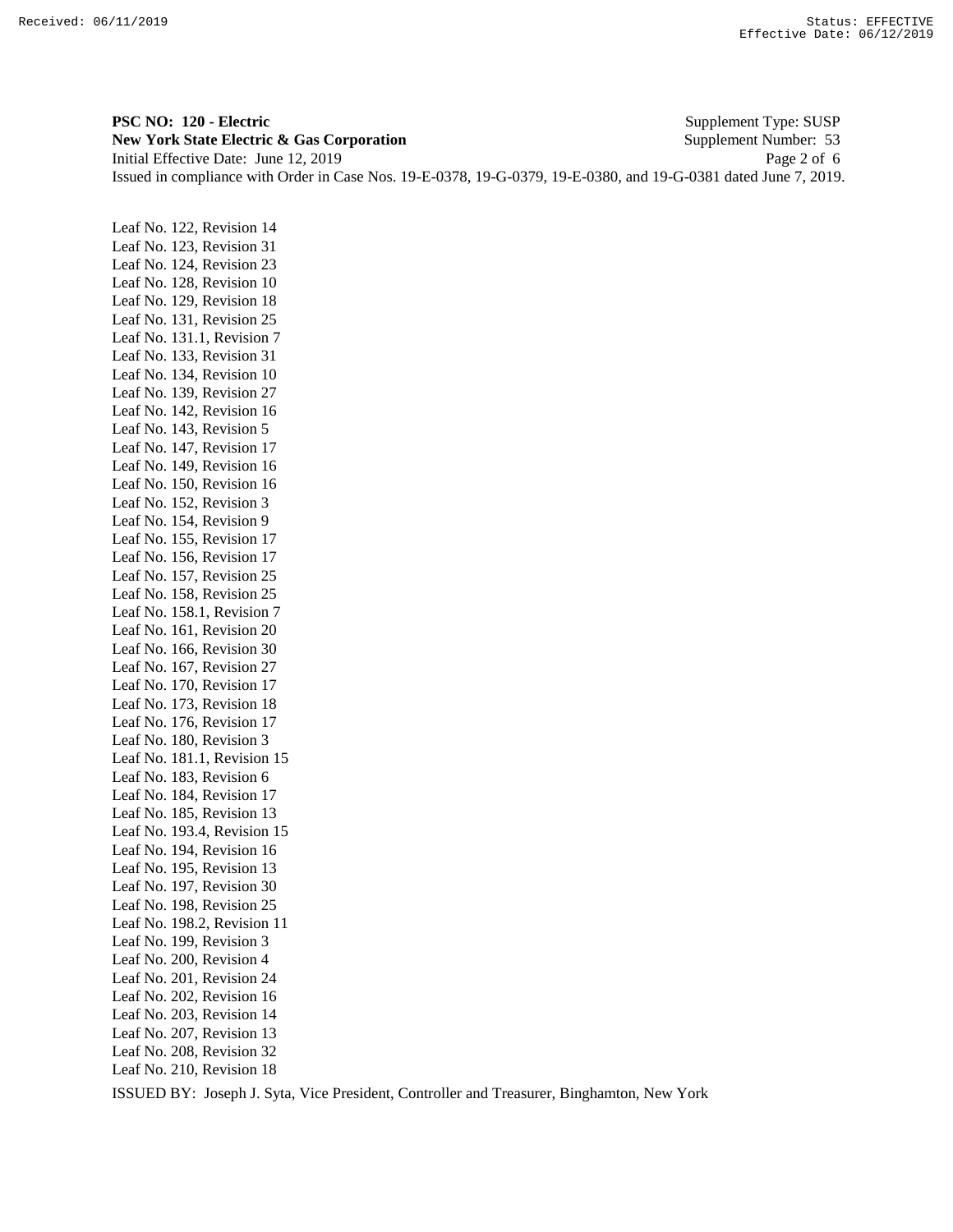**PSC NO: 120 - Electric** Supplement Type: SUSP **New York State Electric & Gas Corporation** Supplement Number: 53 Initial Effective Date: June 12, 2019 Page 2 of 6 Issued in compliance with Order in Case Nos. 19-E-0378, 19-G-0379, 19-E-0380, and 19-G-0381 dated June 7, 2019.

Leaf No. 122, Revision 14 Leaf No. 123, Revision 31 Leaf No. 124, Revision 23 Leaf No. 128, Revision 10 Leaf No. 129, Revision 18 Leaf No. 131, Revision 25 Leaf No. 131.1, Revision 7 Leaf No. 133, Revision 31 Leaf No. 134, Revision 10 Leaf No. 139, Revision 27 Leaf No. 142, Revision 16 Leaf No. 143, Revision 5 Leaf No. 147, Revision 17 Leaf No. 149, Revision 16 Leaf No. 150, Revision 16 Leaf No. 152, Revision 3 Leaf No. 154, Revision 9 Leaf No. 155, Revision 17 Leaf No. 156, Revision 17 Leaf No. 157, Revision 25 Leaf No. 158, Revision 25 Leaf No. 158.1, Revision 7 Leaf No. 161, Revision 20 Leaf No. 166, Revision 30 Leaf No. 167, Revision 27 Leaf No. 170, Revision 17 Leaf No. 173, Revision 18 Leaf No. 176, Revision 17 Leaf No. 180, Revision 3 Leaf No. 181.1, Revision 15 Leaf No. 183, Revision 6 Leaf No. 184, Revision 17 Leaf No. 185, Revision 13 Leaf No. 193.4, Revision 15 Leaf No. 194, Revision 16 Leaf No. 195, Revision 13 Leaf No. 197, Revision 30 Leaf No. 198, Revision 25 Leaf No. 198.2, Revision 11 Leaf No. 199, Revision 3 Leaf No. 200, Revision 4 Leaf No. 201, Revision 24 Leaf No. 202, Revision 16 Leaf No. 203, Revision 14 Leaf No. 207, Revision 13 Leaf No. 208, Revision 32 Leaf No. 210, Revision 18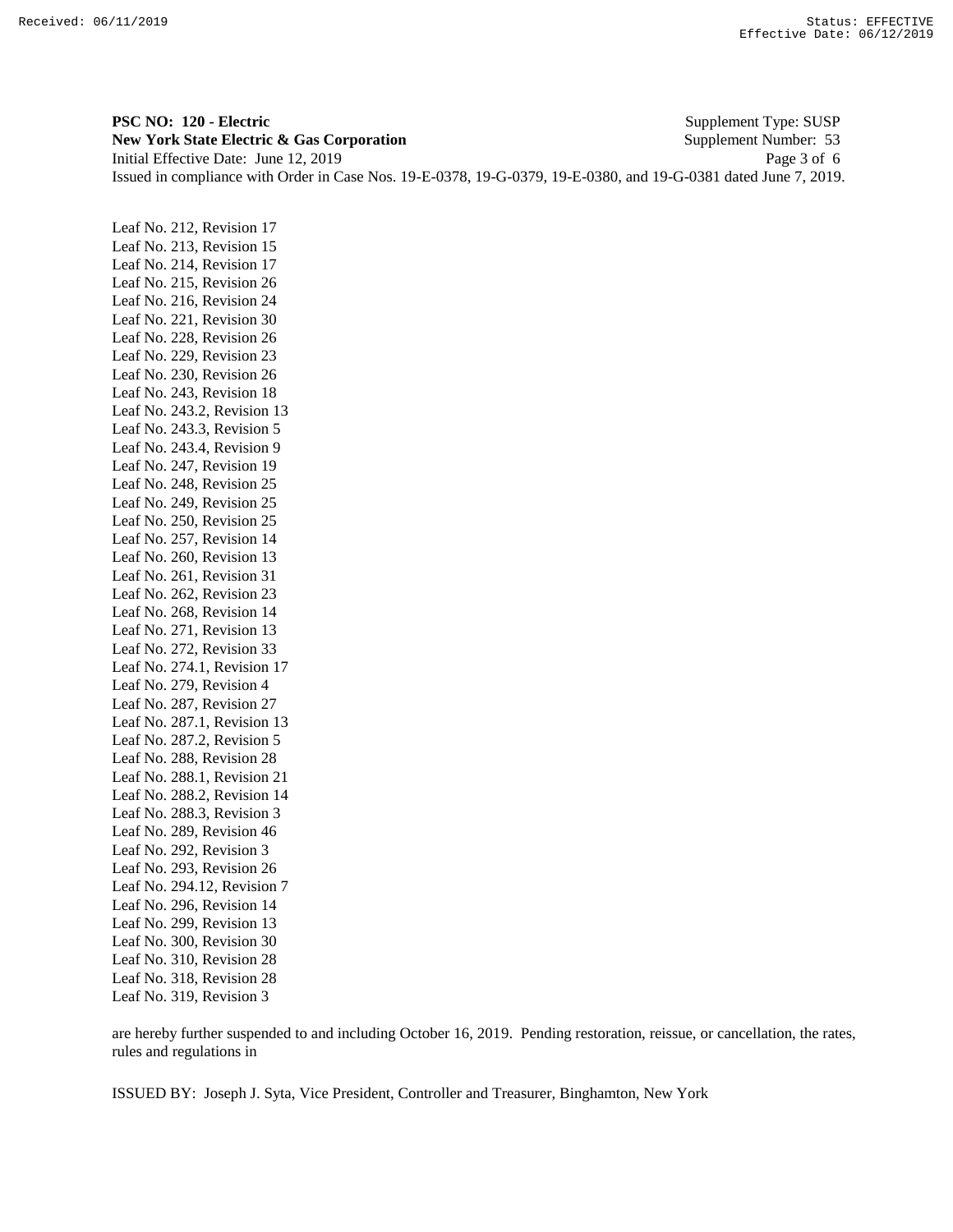**PSC NO: 120 - Electric** Supplement Type: SUSP **New York State Electric & Gas Corporation** Supplement Number: 53 Initial Effective Date: June 12, 2019 Page 3 of 6 Issued in compliance with Order in Case Nos. 19-E-0378, 19-G-0379, 19-E-0380, and 19-G-0381 dated June 7, 2019.

Leaf No. 212, Revision 17 Leaf No. 213, Revision 15 Leaf No. 214, Revision 17 Leaf No. 215, Revision 26 Leaf No. 216, Revision 24 Leaf No. 221, Revision 30 Leaf No. 228, Revision 26 Leaf No. 229, Revision 23 Leaf No. 230, Revision 26 Leaf No. 243, Revision 18 Leaf No. 243.2, Revision 13 Leaf No. 243.3, Revision 5 Leaf No. 243.4, Revision 9 Leaf No. 247, Revision 19 Leaf No. 248, Revision 25 Leaf No. 249, Revision 25 Leaf No. 250, Revision 25 Leaf No. 257, Revision 14 Leaf No. 260, Revision 13 Leaf No. 261, Revision 31 Leaf No. 262, Revision 23 Leaf No. 268, Revision 14 Leaf No. 271, Revision 13 Leaf No. 272, Revision 33 Leaf No. 274.1, Revision 17 Leaf No. 279, Revision 4 Leaf No. 287, Revision 27 Leaf No. 287.1, Revision 13 Leaf No. 287.2, Revision 5 Leaf No. 288, Revision 28 Leaf No. 288.1, Revision 21 Leaf No. 288.2, Revision 14 Leaf No. 288.3, Revision 3 Leaf No. 289, Revision 46 Leaf No. 292, Revision 3 Leaf No. 293, Revision 26 Leaf No. 294.12, Revision 7 Leaf No. 296, Revision 14 Leaf No. 299, Revision 13 Leaf No. 300, Revision 30 Leaf No. 310, Revision 28 Leaf No. 318, Revision 28 Leaf No. 319, Revision 3

are hereby further suspended to and including October 16, 2019. Pending restoration, reissue, or cancellation, the rates, rules and regulations in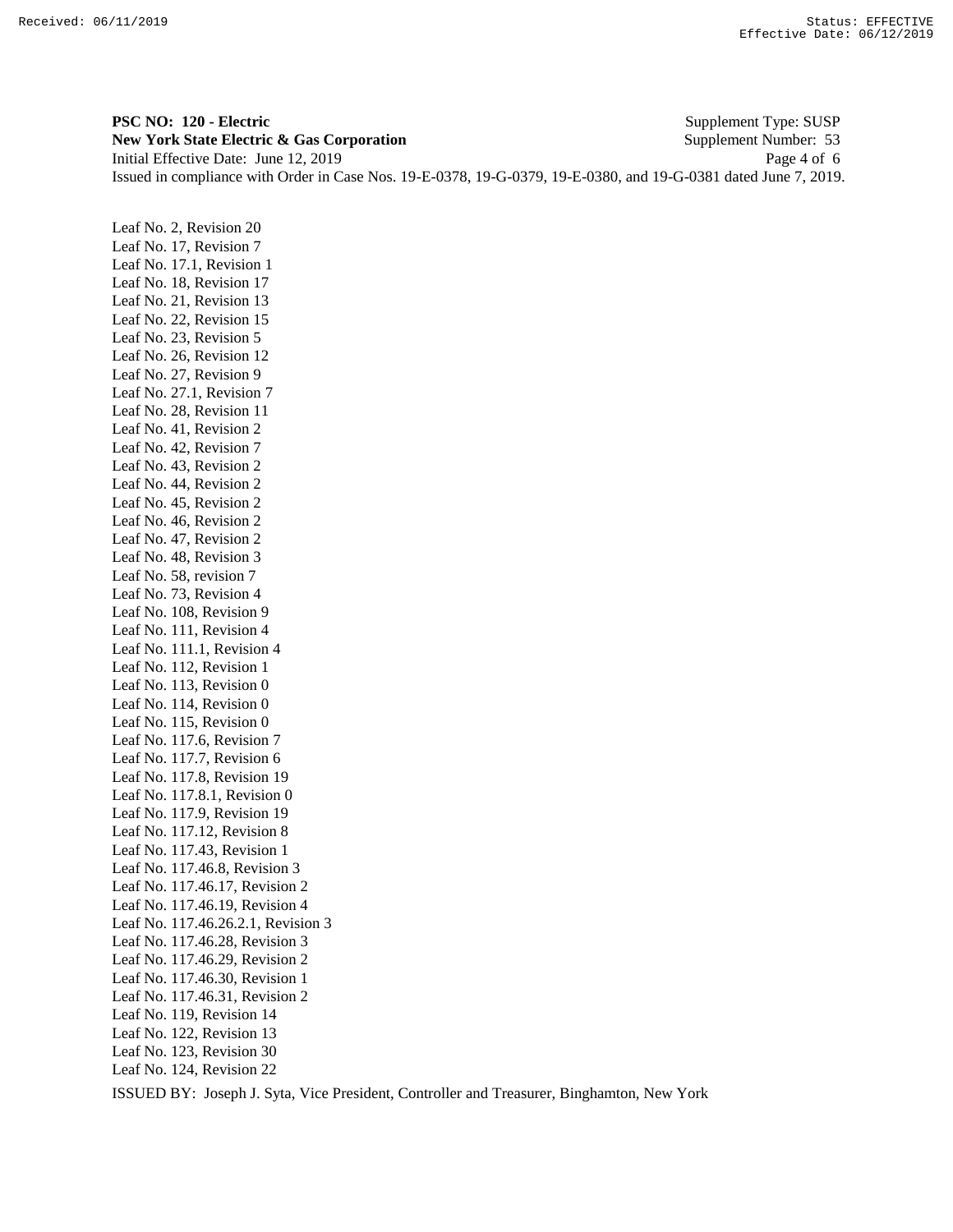**PSC NO: 120 - Electric** Supplement Type: SUSP **New York State Electric & Gas Corporation** Supplement Number: 53 Initial Effective Date: June 12, 2019 Page 4 of 6 Issued in compliance with Order in Case Nos. 19-E-0378, 19-G-0379, 19-E-0380, and 19-G-0381 dated June 7, 2019.

Leaf No. 2, Revision 20 Leaf No. 17, Revision 7 Leaf No. 17.1, Revision 1 Leaf No. 18, Revision 17 Leaf No. 21, Revision 13 Leaf No. 22, Revision 15 Leaf No. 23, Revision 5 Leaf No. 26, Revision 12 Leaf No. 27, Revision 9 Leaf No. 27.1, Revision 7 Leaf No. 28, Revision 11 Leaf No. 41, Revision 2 Leaf No. 42, Revision 7 Leaf No. 43, Revision 2 Leaf No. 44, Revision 2 Leaf No. 45, Revision 2 Leaf No. 46, Revision 2 Leaf No. 47, Revision 2 Leaf No. 48, Revision 3 Leaf No. 58, revision 7 Leaf No. 73, Revision 4 Leaf No. 108, Revision 9 Leaf No. 111, Revision 4 Leaf No. 111.1, Revision 4 Leaf No. 112, Revision 1 Leaf No. 113, Revision 0 Leaf No. 114, Revision 0 Leaf No. 115, Revision 0 Leaf No. 117.6, Revision 7 Leaf No. 117.7, Revision 6 Leaf No. 117.8, Revision 19 Leaf No. 117.8.1, Revision 0 Leaf No. 117.9, Revision 19 Leaf No. 117.12, Revision 8 Leaf No. 117.43, Revision 1 Leaf No. 117.46.8, Revision 3 Leaf No. 117.46.17, Revision 2 Leaf No. 117.46.19, Revision 4 Leaf No. 117.46.26.2.1, Revision 3 Leaf No. 117.46.28, Revision 3 Leaf No. 117.46.29, Revision 2 Leaf No. 117.46.30, Revision 1 Leaf No. 117.46.31, Revision 2 Leaf No. 119, Revision 14 Leaf No. 122, Revision 13 Leaf No. 123, Revision 30 Leaf No. 124, Revision 22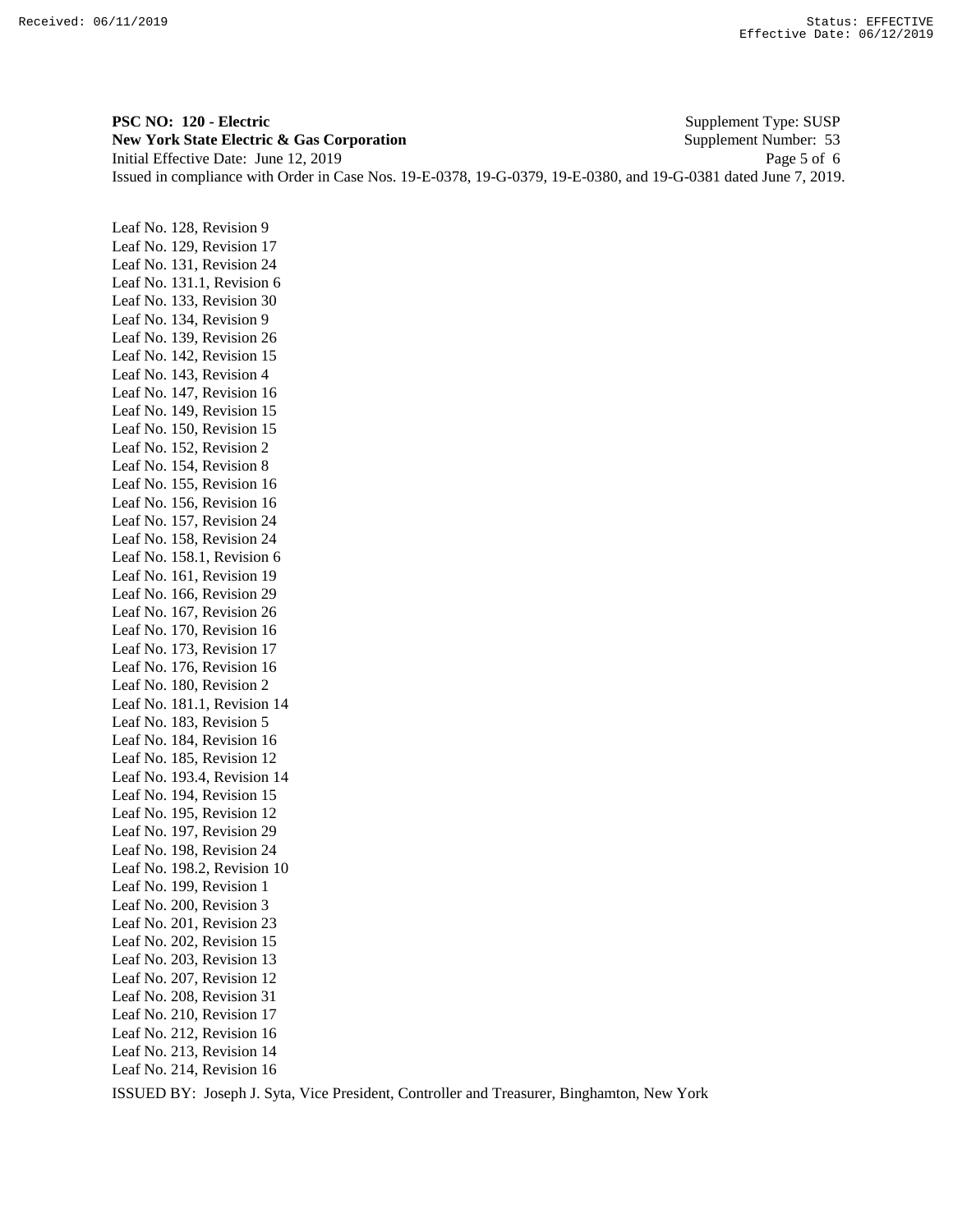**PSC NO: 120 - Electric** Supplement Type: SUSP **New York State Electric & Gas Corporation** Supplement Number: 53 Initial Effective Date: June 12, 2019 Page 5 of 6 Issued in compliance with Order in Case Nos. 19-E-0378, 19-G-0379, 19-E-0380, and 19-G-0381 dated June 7, 2019.

Leaf No. 128, Revision 9 Leaf No. 129, Revision 17 Leaf No. 131, Revision 24 Leaf No. 131.1, Revision 6 Leaf No. 133, Revision 30 Leaf No. 134, Revision 9 Leaf No. 139, Revision 26 Leaf No. 142, Revision 15 Leaf No. 143, Revision 4 Leaf No. 147, Revision 16 Leaf No. 149, Revision 15 Leaf No. 150, Revision 15 Leaf No. 152, Revision 2 Leaf No. 154, Revision 8 Leaf No. 155, Revision 16 Leaf No. 156, Revision 16 Leaf No. 157, Revision 24 Leaf No. 158, Revision 24 Leaf No. 158.1, Revision 6 Leaf No. 161, Revision 19 Leaf No. 166, Revision 29 Leaf No. 167, Revision 26 Leaf No. 170, Revision 16 Leaf No. 173, Revision 17 Leaf No. 176, Revision 16 Leaf No. 180, Revision 2 Leaf No. 181.1, Revision 14 Leaf No. 183, Revision 5 Leaf No. 184, Revision 16 Leaf No. 185, Revision 12 Leaf No. 193.4, Revision 14 Leaf No. 194, Revision 15 Leaf No. 195, Revision 12 Leaf No. 197, Revision 29 Leaf No. 198, Revision 24 Leaf No. 198.2, Revision 10 Leaf No. 199, Revision 1 Leaf No. 200, Revision 3 Leaf No. 201, Revision 23 Leaf No. 202, Revision 15 Leaf No. 203, Revision 13 Leaf No. 207, Revision 12 Leaf No. 208, Revision 31 Leaf No. 210, Revision 17 Leaf No. 212, Revision 16 Leaf No. 213, Revision 14 Leaf No. 214, Revision 16